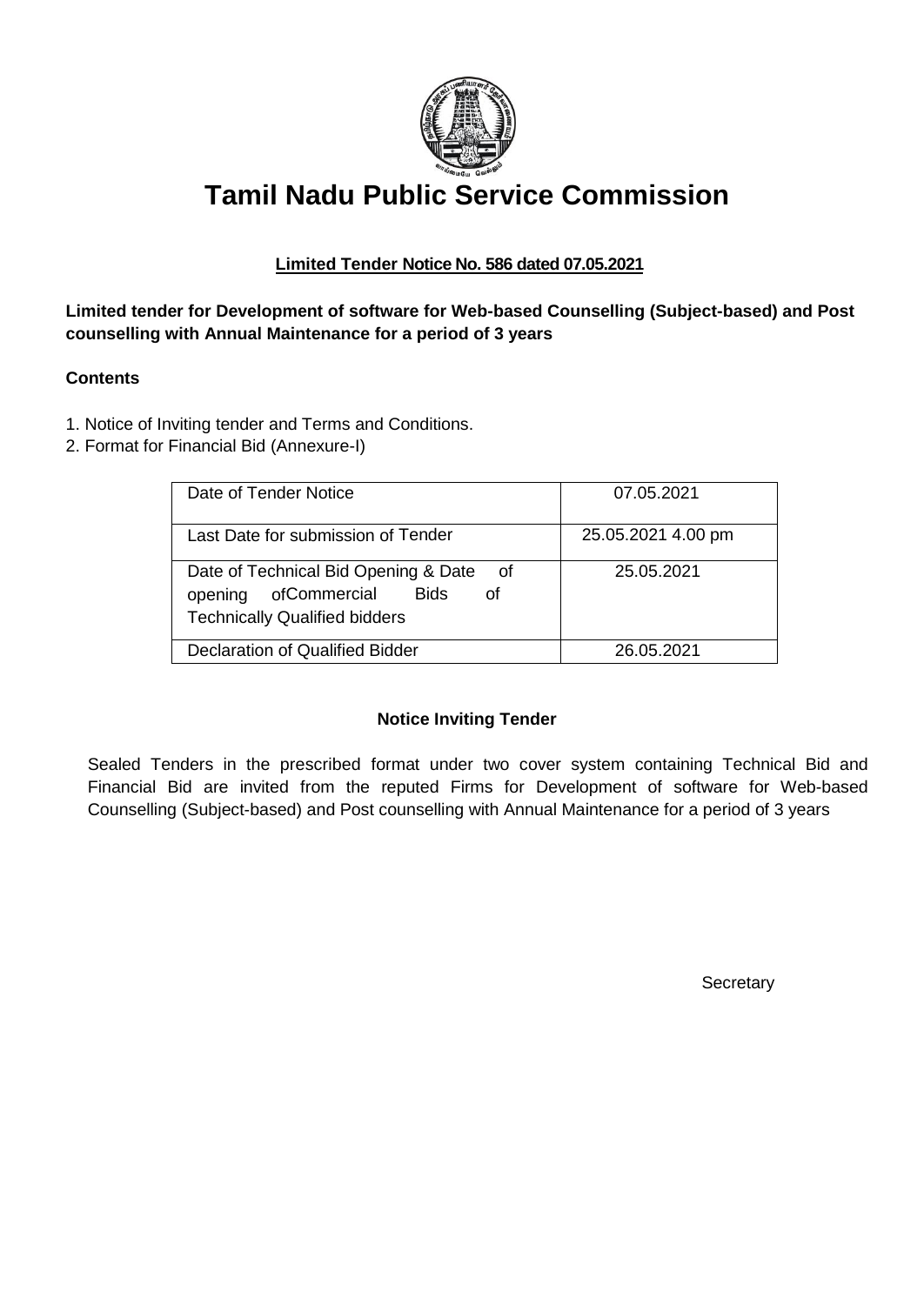

# **Tamil Nadu Public Service Commission**

# **Limited Tender Notice No. 586 dated 07.05.2021**

# **Limited tender for Development of software for Web-based Counselling (Subject-based) and Post counselling with Annual Maintenance for a period of 3 years**

## **Contents**

- 1. Notice of Inviting tender and Terms and Conditions.
- 2. Format for Financial Bid (Annexure-I)

| Date of Tender Notice                                                                                                       | 07.05.2021         |
|-----------------------------------------------------------------------------------------------------------------------------|--------------------|
| Last Date for submission of Tender                                                                                          | 25.05.2021 4.00 pm |
| Date of Technical Bid Opening & Date<br>of<br>ofCommercial<br>opening<br>Bids<br>Ωf<br><b>Technically Qualified bidders</b> | 25.05.2021         |
| Declaration of Qualified Bidder                                                                                             | 26.05.2021         |

## **Notice Inviting Tender**

Sealed Tenders in the prescribed format under two cover system containing Technical Bid and Financial Bid are invited from the reputed Firms for Development of software for Web-based Counselling (Subject-based) and Post counselling with Annual Maintenance for a period of 3 years

**Secretary**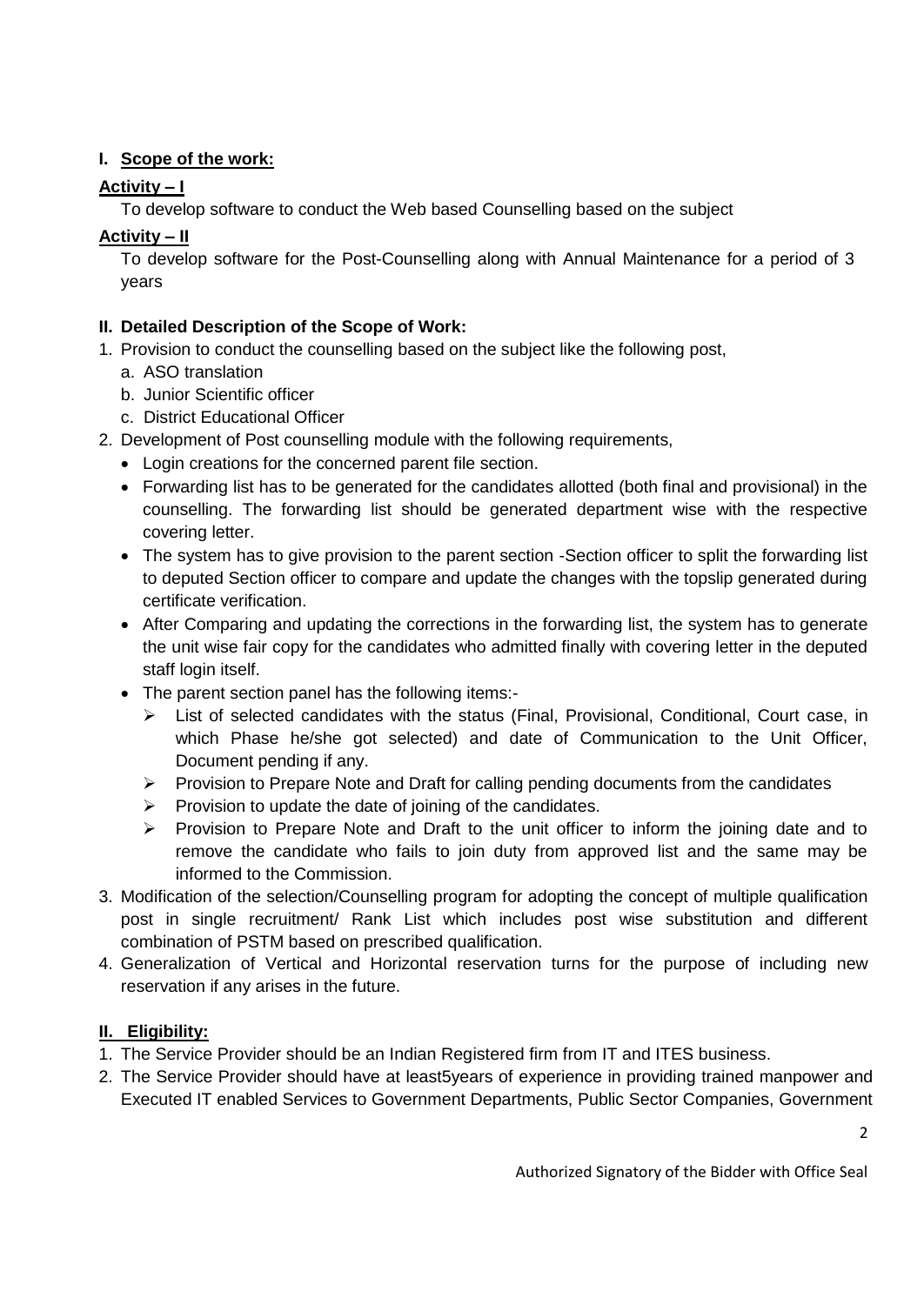# **I. Scope of the work:**

# **Activity – I**

To develop software to conduct the Web based Counselling based on the subject

# **Activity – II**

To develop software for the Post-Counselling along with Annual Maintenance for a period of 3 years

# **II. Detailed Description of the Scope of Work:**

- 1. Provision to conduct the counselling based on the subject like the following post,
	- a. ASO translation
	- b. Junior Scientific officer
	- c. District Educational Officer
- 2. Development of Post counselling module with the following requirements,
	- Login creations for the concerned parent file section.
	- Forwarding list has to be generated for the candidates allotted (both final and provisional) in the counselling. The forwarding list should be generated department wise with the respective covering letter.
	- The system has to give provision to the parent section -Section officer to split the forwarding list to deputed Section officer to compare and update the changes with the topslip generated during certificate verification.
	- After Comparing and updating the corrections in the forwarding list, the system has to generate the unit wise fair copy for the candidates who admitted finally with covering letter in the deputed staff login itself.
	- The parent section panel has the following items:-
		- $\triangleright$  List of selected candidates with the status (Final, Provisional, Conditional, Court case, in which Phase he/she got selected) and date of Communication to the Unit Officer, Document pending if any.
		- $\triangleright$  Provision to Prepare Note and Draft for calling pending documents from the candidates
		- $\triangleright$  Provision to update the date of joining of the candidates.
		- $\triangleright$  Provision to Prepare Note and Draft to the unit officer to inform the joining date and to remove the candidate who fails to join duty from approved list and the same may be informed to the Commission.
- 3. Modification of the selection/Counselling program for adopting the concept of multiple qualification post in single recruitment/ Rank List which includes post wise substitution and different combination of PSTM based on prescribed qualification.
- 4. Generalization of Vertical and Horizontal reservation turns for the purpose of including new reservation if any arises in the future.

# **II. Eligibility:**

- 1. The Service Provider should be an Indian Registered firm from IT and ITES business.
- 2. The Service Provider should have at least5years of experience in providing trained manpower and Executed IT enabled Services to Government Departments, Public Sector Companies, Government

Authorized Signatory of the Bidder with Office Seal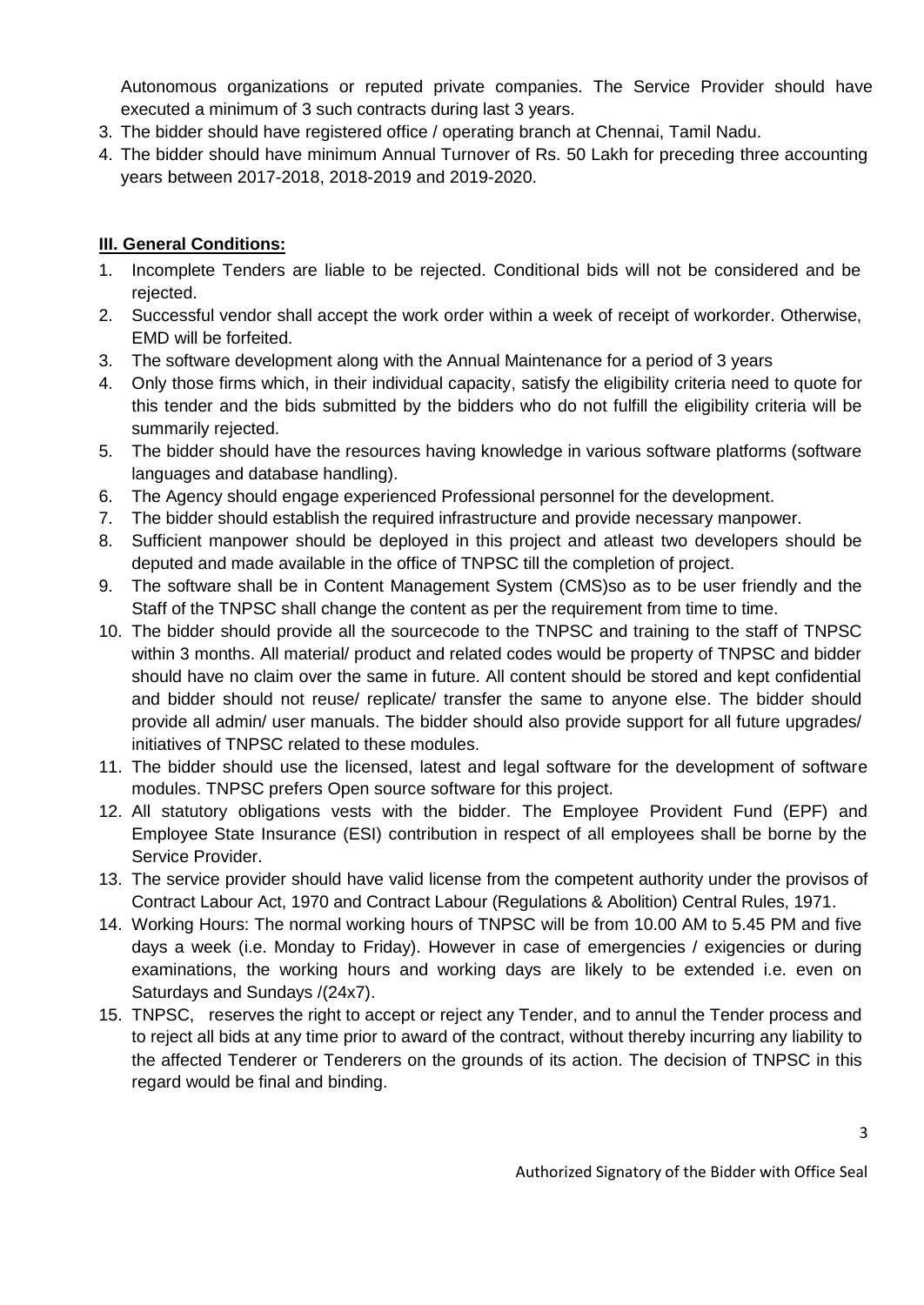Autonomous organizations or reputed private companies. The Service Provider should have executed a minimum of 3 such contracts during last 3 years.

- 3. The bidder should have registered office / operating branch at Chennai, Tamil Nadu.
- 4. The bidder should have minimum Annual Turnover of Rs. 50 Lakh for preceding three accounting years between 2017-2018, 2018-2019 and 2019-2020.

## **III. General Conditions:**

- 1. Incomplete Tenders are liable to be rejected. Conditional bids will not be considered and be rejected.
- 2. Successful vendor shall accept the work order within a week of receipt of workorder. Otherwise, EMD will be forfeited.
- 3. The software development along with the Annual Maintenance for a period of 3 years
- 4. Only those firms which, in their individual capacity, satisfy the eligibility criteria need to quote for this tender and the bids submitted by the bidders who do not fulfill the eligibility criteria will be summarily rejected.
- 5. The bidder should have the resources having knowledge in various software platforms (software languages and database handling).
- 6. The Agency should engage experienced Professional personnel for the development.
- 7. The bidder should establish the required infrastructure and provide necessary manpower.
- 8. Sufficient manpower should be deployed in this project and atleast two developers should be deputed and made available in the office of TNPSC till the completion of project.
- 9. The software shall be in Content Management System (CMS)so as to be user friendly and the Staff of the TNPSC shall change the content as per the requirement from time to time.
- 10. The bidder should provide all the sourcecode to the TNPSC and training to the staff of TNPSC within 3 months. All material/ product and related codes would be property of TNPSC and bidder should have no claim over the same in future. All content should be stored and kept confidential and bidder should not reuse/ replicate/ transfer the same to anyone else. The bidder should provide all admin/ user manuals. The bidder should also provide support for all future upgrades/ initiatives of TNPSC related to these modules.
- 11. The bidder should use the licensed, latest and legal software for the development of software modules. TNPSC prefers Open source software for this project.
- 12. All statutory obligations vests with the bidder. The Employee Provident Fund (EPF) and Employee State Insurance (ESI) contribution in respect of all employees shall be borne by the Service Provider.
- 13. The service provider should have valid license from the competent authority under the provisos of Contract Labour Act, 1970 and Contract Labour (Regulations & Abolition) Central Rules, 1971.
- 14. Working Hours: The normal working hours of TNPSC will be from 10.00 AM to 5.45 PM and five days a week (i.e. Monday to Friday). However in case of emergencies / exigencies or during examinations, the working hours and working days are likely to be extended i.e. even on Saturdays and Sundays /(24x7).
- 15. TNPSC, reserves the right to accept or reject any Tender, and to annul the Tender process and to reject all bids at any time prior to award of the contract, without thereby incurring any liability to the affected Tenderer or Tenderers on the grounds of its action. The decision of TNPSC in this regard would be final and binding.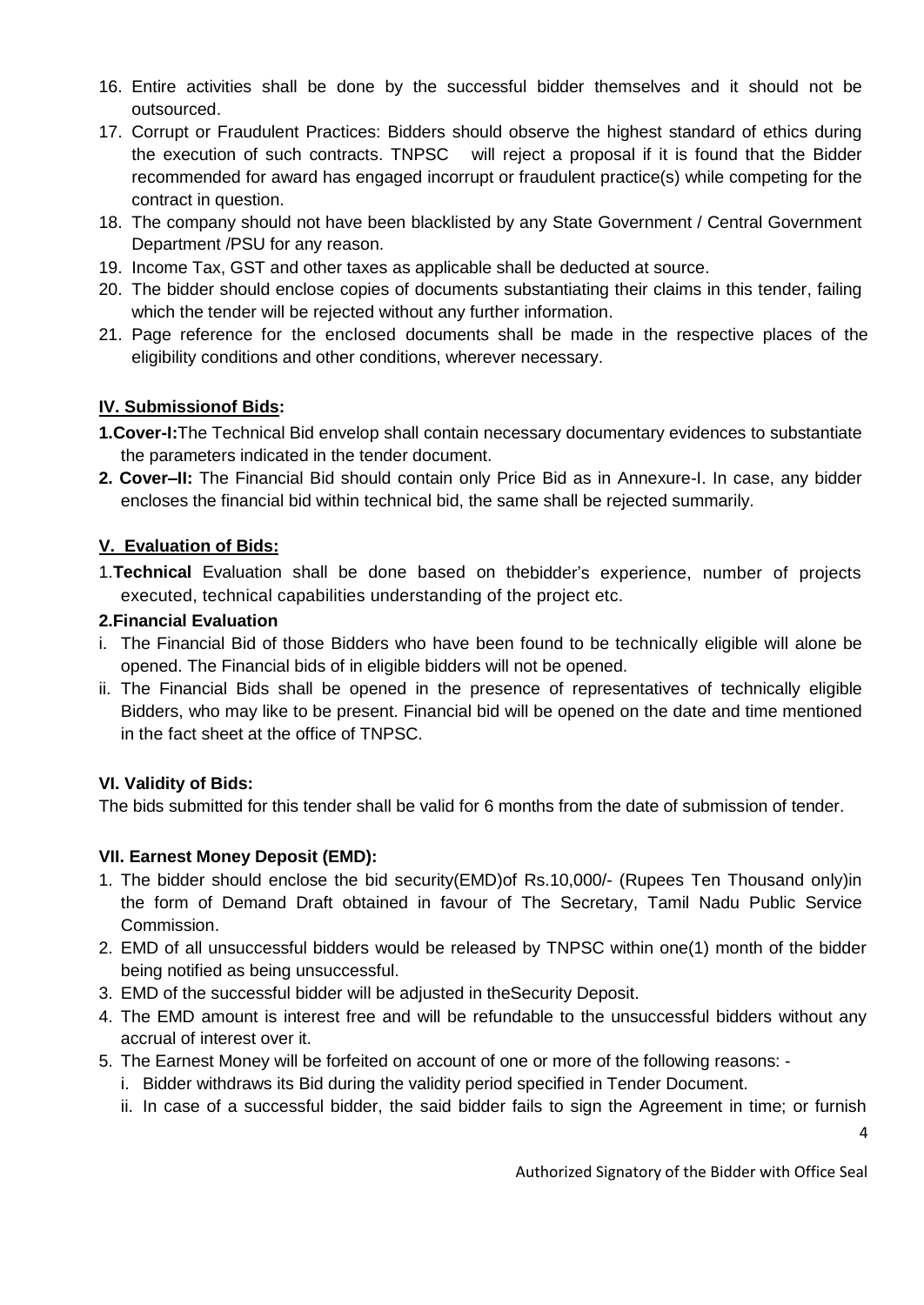- 16. Entire activities shall be done by the successful bidder themselves and it should not be outsourced.
- 17. Corrupt or Fraudulent Practices: Bidders should observe the highest standard of ethics during the execution of such contracts. TNPSC will reject a proposal if it is found that the Bidder recommended for award has engaged incorrupt or fraudulent practice(s) while competing for the contract in question.
- 18. The company should not have been blacklisted by any State Government / Central Government Department /PSU for any reason.
- 19. Income Tax, GST and other taxes as applicable shall be deducted at source.
- 20. The bidder should enclose copies of documents substantiating their claims in this tender, failing which the tender will be rejected without any further information.
- 21. Page reference for the enclosed documents shall be made in the respective places of the eligibility conditions and other conditions, wherever necessary.

# **IV. Submissionof Bids:**

- **1.Cover-I:**The Technical Bid envelop shall contain necessary documentary evidences to substantiate the parameters indicated in the tender document.
- **2. Cover–II:** The Financial Bid should contain only Price Bid as in Annexure-I. In case, any bidder encloses the financial bid within technical bid, the same shall be rejected summarily.

# **V. Evaluation of Bids:**

1.**Technical** Evaluation shall be done based on thebidder's experience, number of projects executed, technical capabilities understanding of the project etc.

## **2.Financial Evaluation**

- i. The Financial Bid of those Bidders who have been found to be technically eligible will alone be opened. The Financial bids of in eligible bidders will not be opened.
- ii. The Financial Bids shall be opened in the presence of representatives of technically eligible Bidders, who may like to be present. Financial bid will be opened on the date and time mentioned in the fact sheet at the office of TNPSC.

## **VI. Validity of Bids:**

The bids submitted for this tender shall be valid for 6 months from the date of submission of tender.

## **VII. Earnest Money Deposit (EMD):**

- 1. The bidder should enclose the bid security(EMD)of Rs.10,000/- (Rupees Ten Thousand only)in the form of Demand Draft obtained in favour of The Secretary, Tamil Nadu Public Service Commission.
- 2. EMD of all unsuccessful bidders would be released by TNPSC within one(1) month of the bidder being notified as being unsuccessful.
- 3. EMD of the successful bidder will be adjusted in theSecurity Deposit.
- 4. The EMD amount is interest free and will be refundable to the unsuccessful bidders without any accrual of interest over it.
- 5. The Earnest Money will be forfeited on account of one or more of the following reasons:
	- i. Bidder withdraws its Bid during the validity period specified in Tender Document.
	- ii. In case of a successful bidder, the said bidder fails to sign the Agreement in time; or furnish

Authorized Signatory of the Bidder with Office Seal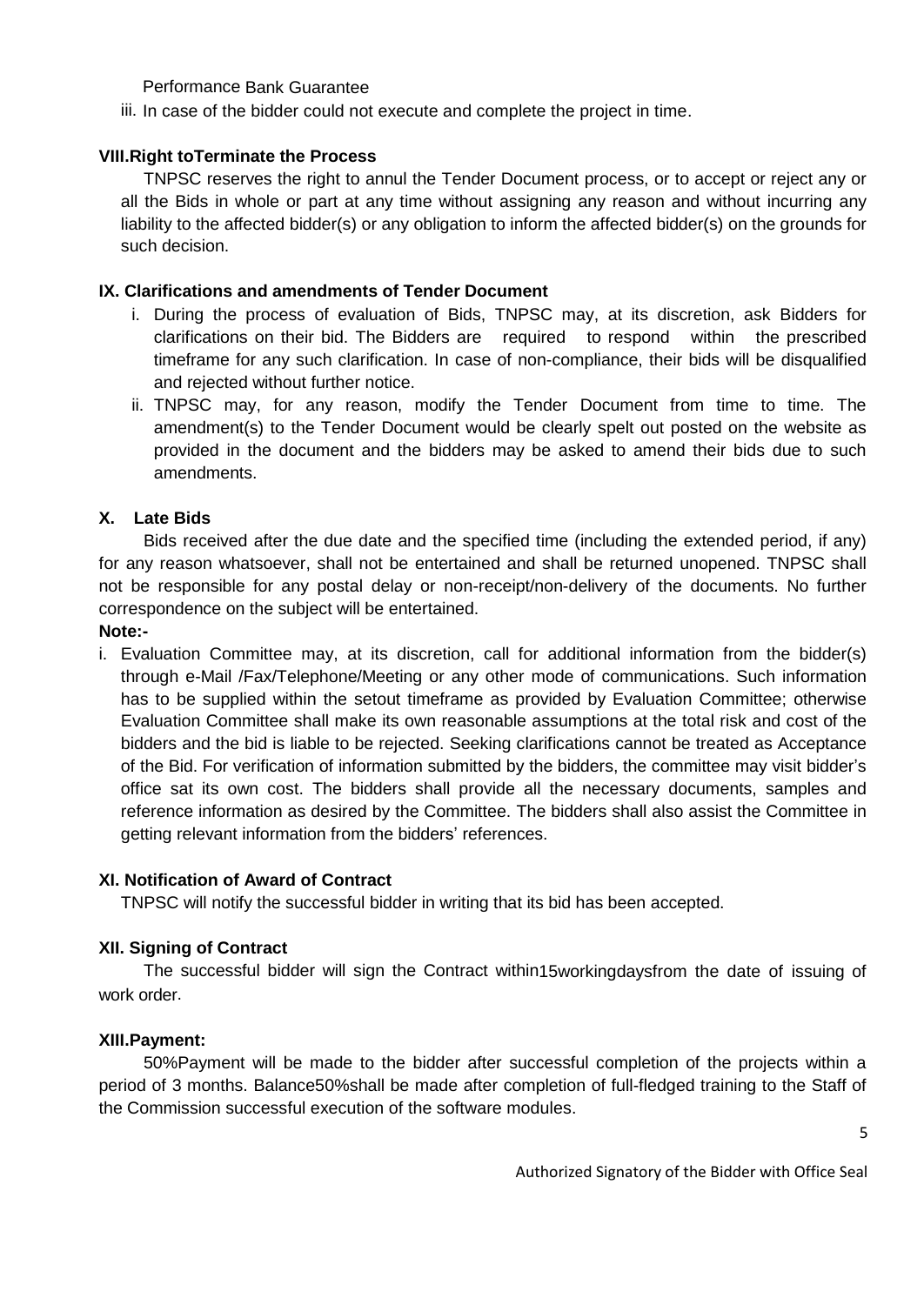#### Performance Bank Guarantee

iii. In case of the bidder could not execute and complete the project in time.

#### **VIII.Right toTerminate the Process**

TNPSC reserves the right to annul the Tender Document process, or to accept or reject any or all the Bids in whole or part at any time without assigning any reason and without incurring any liability to the affected bidder(s) or any obligation to inform the affected bidder(s) on the grounds for such decision.

#### **IX. Clarifications and amendments of Tender Document**

- i. During the process of evaluation of Bids, TNPSC may, at its discretion, ask Bidders for clarifications on their bid. The Bidders are required to respond within the prescribed timeframe for any such clarification. In case of non-compliance, their bids will be disqualified and rejected without further notice.
- ii. TNPSC may, for any reason, modify the Tender Document from time to time. The amendment(s) to the Tender Document would be clearly spelt out posted on the website as provided in the document and the bidders may be asked to amend their bids due to such amendments.

#### **X. Late Bids**

Bids received after the due date and the specified time (including the extended period, if any) for any reason whatsoever, shall not be entertained and shall be returned unopened. TNPSC shall not be responsible for any postal delay or non-receipt/non-delivery of the documents. No further correspondence on the subject will be entertained.

#### **Note:-**

i. Evaluation Committee may, at its discretion, call for additional information from the bidder(s) through e-Mail /Fax/Telephone/Meeting or any other mode of communications. Such information has to be supplied within the setout timeframe as provided by Evaluation Committee; otherwise Evaluation Committee shall make its own reasonable assumptions at the total risk and cost of the bidders and the bid is liable to be rejected. Seeking clarifications cannot be treated as Acceptance of the Bid. For verification of information submitted by the bidders, the committee may visit bidder's office sat its own cost. The bidders shall provide all the necessary documents, samples and reference information as desired by the Committee. The bidders shall also assist the Committee in getting relevant information from the bidders' references.

#### **XI. Notification of Award of Contract**

TNPSC will notify the successful bidder in writing that its bid has been accepted.

#### **XII. Signing of Contract**

The successful bidder will sign the Contract within15workingdaysfrom the date of issuing of work order.

#### **XIII.Payment:**

50%Payment will be made to the bidder after successful completion of the projects within a period of 3 months. Balance50%shall be made after completion of full-fledged training to the Staff of the Commission successful execution of the software modules.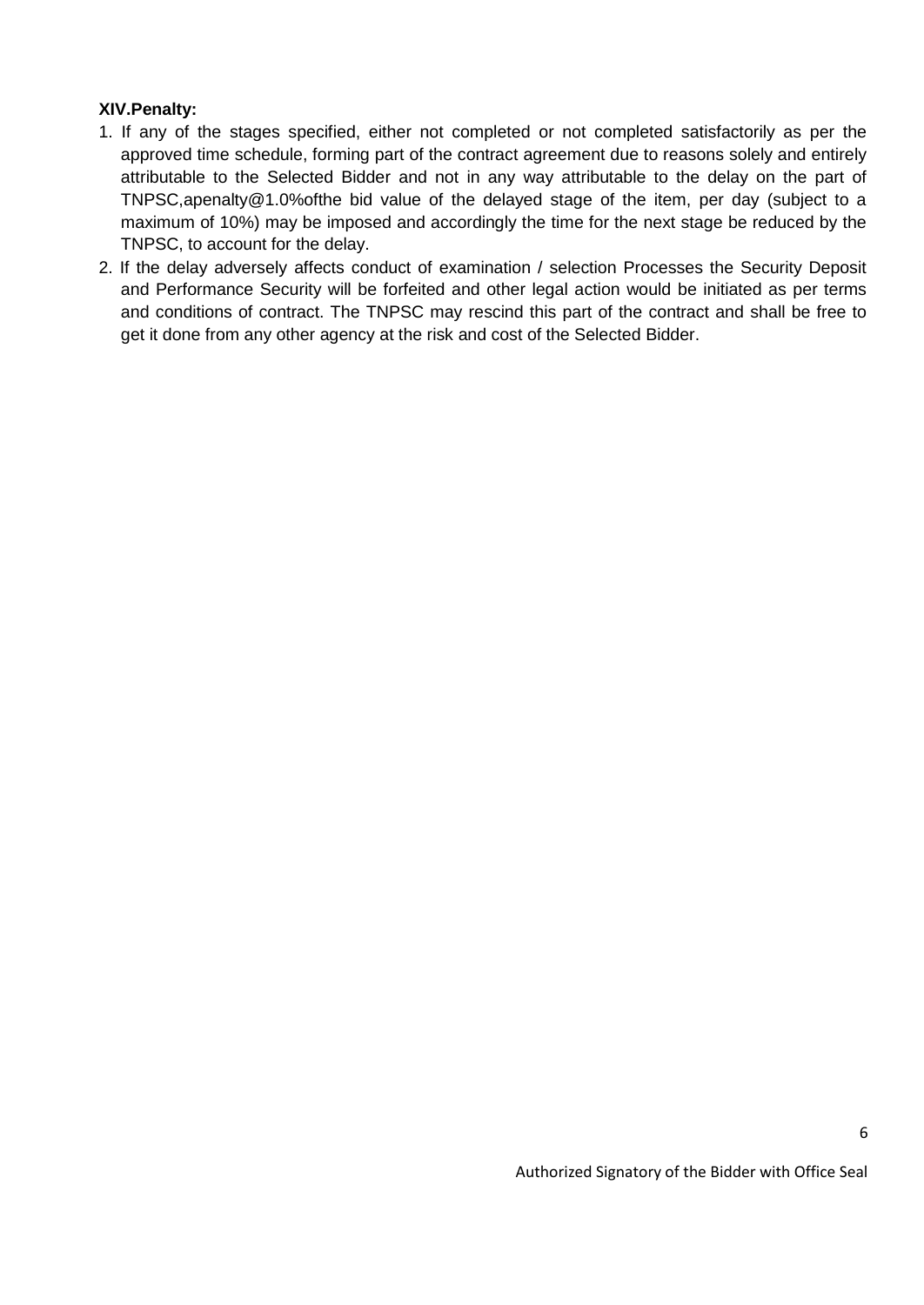### **XIV.Penalty:**

- 1. If any of the stages specified, either not completed or not completed satisfactorily as per the approved time schedule, forming part of the contract agreement due to reasons solely and entirely attributable to the Selected Bidder and not in any way attributable to the delay on the part of TNPSC,apenalty@1.0%ofthe bid value of the delayed stage of the item, per day (subject to a maximum of 10%) may be imposed and accordingly the time for the next stage be reduced by the TNPSC, to account for the delay.
- 2. If the delay adversely affects conduct of examination / selection Processes the Security Deposit and Performance Security will be forfeited and other legal action would be initiated as per terms and conditions of contract. The TNPSC may rescind this part of the contract and shall be free to get it done from any other agency at the risk and cost of the Selected Bidder.